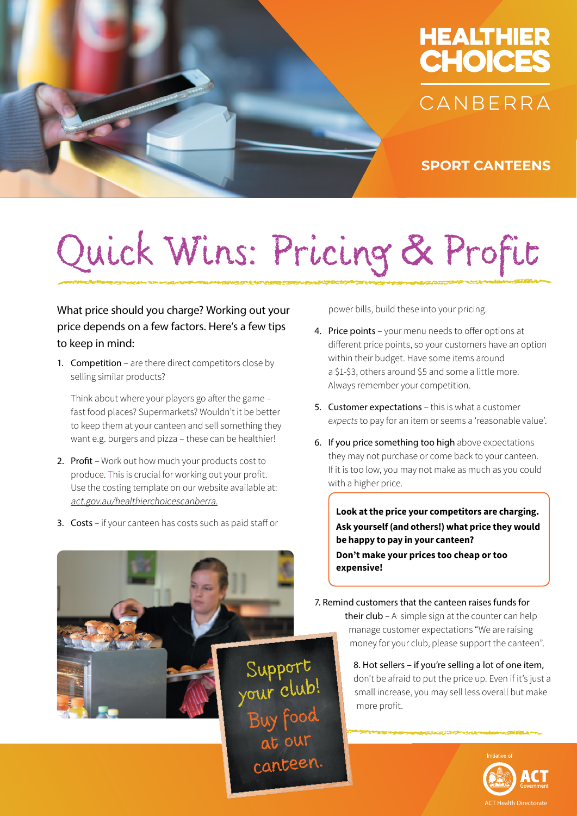



**SPORT CANTEENS**

# Quick Wins: Pricing & Profit

canteen.

#### What price should you charge? Working out your price depends on a few factors. Here's a few tips to keep in mind:

1. Competition - are there direct competitors close by selling similar products?

 Think about where your players go after the game – fast food places? Supermarkets? Wouldn't it be better to keep them at your canteen and sell something they want e.g. burgers and pizza – these can be healthier!

- 2. Profit Work out how much your products cost to produce. This is crucial for working out your profit. Use the costing template on our website available at: [act.gov.au/healthierchoicescanberra](https://www.health.act.gov.au/about-our-health-system/healthy-living/healthier-choices-canberra).
- 3. Costs if your canteen has costs such as paid staff or

power bills, build these into your pricing.

- 4. Price points your menu needs to offer options at different price points, so your customers have an option within their budget. Have some items around a \$1-\$3, others around \$5 and some a little more. Always remember your competition.
- 5. Customer expectations this is what a customer *expects* to pay for an item or seems a 'reasonable value'.
- 6. If you price something too high above expectations they may not purchase or come back to your canteen. If it is too low, you may not make as much as you could with a higher price.

**Look at the price your competitors are charging. Ask yourself (and others!) what price they would be happy to pay in your canteen? Don't make your prices too cheap or too expensive!**

7. Remind customers that the canteen raises funds for

their  $club - A$  simple sign at the counter can help manage customer expectations "We are raising money for your club, please support the canteen".

8. Hot sellers – if you're selling a lot of one item, don't be afraid to put the price up. Even if it's just a small increase, you may sell less overall but make more profit.

ACT Health Directorate

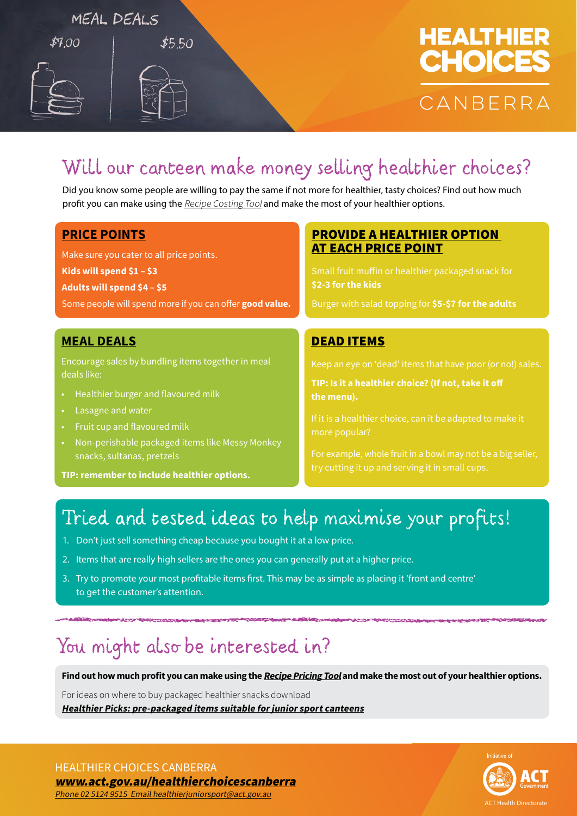#### MEAL DEALS

 $$700$ 

# **HEALTHIER CHOICES** CANBERRA

# Will our canteen make money selling healthier choices?

Did you know some people are willing to pay the same if not more for healthier, tasty choices? Find out how much profit you can make using the [Recipe Costing Tool](https://www.health.act.gov.au/about-our-health-system/healthy-living/healthier-choices-canberra/junior-sport/sports-canteens) and make the most of your healthier options.

#### **PRICE POINTS**

Make sure you cater to all price points.

**Kids will spend \$1 – \$3** 

**Adults will spend \$4 – \$5** 

Some people will spend more if you can offer **good value.**

 $$5.50$ 

#### **MEAL DEALS**

Encourage sales by bundling items together in meal deals like:

- Healthier burger and flavoured milk
- Lasagne and water
- Fruit cup and flavoured milk
- Non-perishable packaged items like Messy Monkey snacks, sultanas, pretzels

**TIP: remember to include healthier options.**

#### PROVIDE A HEALTHIER OPTION AT EACH PRICE POINT

Small fruit muffin or healthier packaged snack for **\$2-3 for the kids**

Burger with salad topping for **\$5-\$7 for the adults**

#### DEAD ITEMS

**TIP: Is it a healthier choice? (If not, take it off the menu).**

more popular?

For example, whole fruit in a bowl may not be a big seller,

### Tried and tested ideas to help maximise your profits!

- 1. Don't just sell something cheap because you bought it at a low price.
- 2. Items that are really high sellers are the ones you can generally put at a higher price.
- 3. Try to promote your most profitable items first. This may be as simple as placing it 'front and centre' to get the customer's attention.

## You might also be interested in?

**Find out how much profit you can make using the [Recipe Pricing Tool](https://www.health.act.gov.au/about-our-health-system/healthy-living/healthier-choices-canberra/junior-sport/sports-canteens) and make the most out of your healthier options.**

For ideas on where to buy packaged healthier snacks download **[Healthier Picks: pre-packaged items suitable for junior sport canteens](https://www.health.act.gov.au/about-our-health-system/healthy-living/healthier-choices-canberra/junior-sport/sports-canteens)**

**ACT Health Directorate** 

HEALTHIER CHOICES CANBERRA

[www.act.gov.au/healthierchoices](http://act.gov.au/healthierchoicescanberra)canberra Phone 02 5124 9515 Email [healthierjuniorsport@act.gov.au](mailto:healthierjuniorsport@act.gov.au)